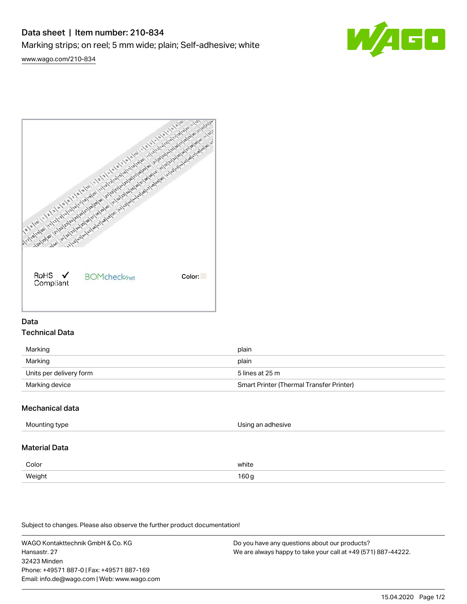# Data sheet | Item number: 210-834 Marking strips; on reel; 5 mm wide; plain; Self-adhesive; white



[www.wago.com/210-834](http://www.wago.com/210-834)



# Data Technical Data

| Marking                 | plain                                    |
|-------------------------|------------------------------------------|
| Marking                 | plain                                    |
| Units per delivery form | 5 lines at 25 m                          |
| Marking device          | Smart Printer (Thermal Transfer Printer) |

# Mechanical data

| Mounting type        | Using an adhesive |
|----------------------|-------------------|
| <b>Material Data</b> |                   |
| Color                | white             |
| Weight               | 160g              |

Subject to changes. Please also observe the further product documentation!

WAGO Kontakttechnik GmbH & Co. KG Hansastr. 27 32423 Minden Phone: +49571 887-0 | Fax: +49571 887-169 Email: info.de@wago.com | Web: www.wago.com Do you have any questions about our products? We are always happy to take your call at +49 (571) 887-44222.